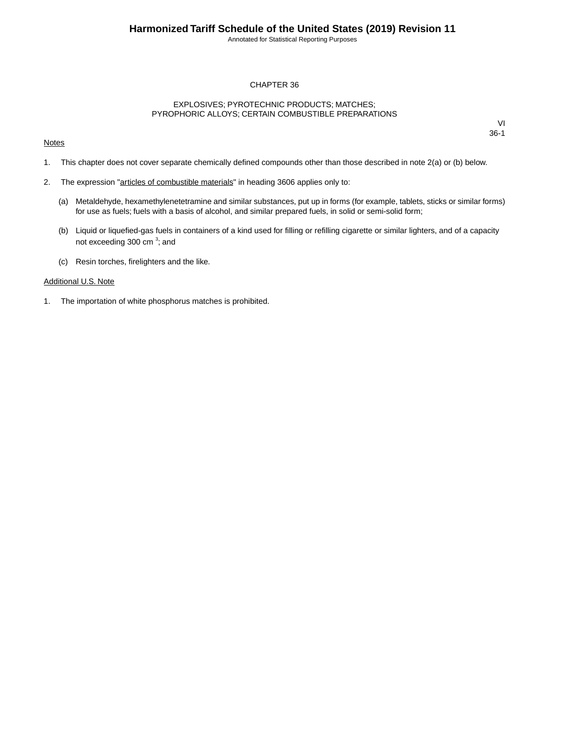Annotated for Statistical Reporting Purposes

### CHAPTER 36

### EXPLOSIVES; PYROTECHNIC PRODUCTS; MATCHES; PYROPHORIC ALLOYS; CERTAIN COMBUSTIBLE PREPARATIONS

#### **Notes**

VI 36-1

- 1. This chapter does not cover separate chemically defined compounds other than those described in note 2(a) or (b) below.
- 2. The expression "articles of combustible materials" in heading 3606 applies only to:
	- (a) Metaldehyde, hexamethylenetetramine and similar substances, put up in forms (for example, tablets, sticks or similar forms) for use as fuels; fuels with a basis of alcohol, and similar prepared fuels, in solid or semi-solid form;
	- (b) Liquid or liquefied-gas fuels in containers of a kind used for filling or refilling cigarette or similar lighters, and of a capacity not exceeding 300 cm<sup>3</sup>; and
	- (c) Resin torches, firelighters and the like.

#### Additional U.S. Note

1. The importation of white phosphorus matches is prohibited.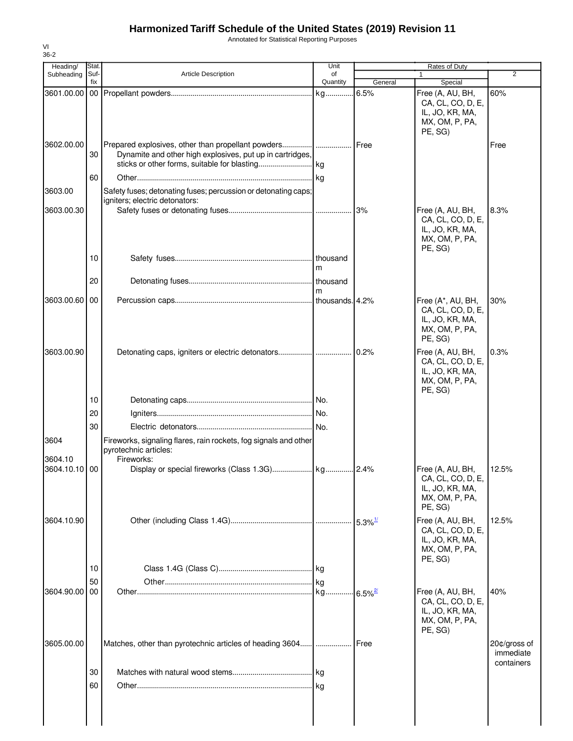## **Harmonized Tariff Schedule of the United States (2019) Revision 11**

Annotated for Statistical Reporting Purposes

| Heading/        | Stat.       |                                                                                                         | Unit           |                        | Rates of Duty                                                                         |                           |
|-----------------|-------------|---------------------------------------------------------------------------------------------------------|----------------|------------------------|---------------------------------------------------------------------------------------|---------------------------|
| Subheading      | Suf-<br>fix | Article Description                                                                                     | of<br>Quantity | General                | $\mathbf{1}$<br>Special                                                               | $\overline{2}$            |
| 3601.00.00      |             |                                                                                                         |                | 6.5%                   | Free (A, AU, BH,<br>CA, CL, CO, D, E,<br>IL, JO, KR, MA,<br>MX, OM, P, PA,<br>PE, SG) | 60%                       |
| 3602.00.00      | 30          | Dynamite and other high explosives, put up in cartridges,                                               |                | Free                   |                                                                                       | Free                      |
| 3603.00         | 60          | Safety fuses; detonating fuses; percussion or detonating caps;                                          |                |                        |                                                                                       |                           |
| 3603.00.30      |             | igniters; electric detonators:                                                                          |                | 3%                     | Free (A, AU, BH,<br>CA, CL, CO, D, E,<br>IL, JO, KR, MA,<br>MX, OM, P, PA,<br>PE, SG) | 8.3%                      |
|                 | 10<br>20    |                                                                                                         | m              |                        |                                                                                       |                           |
| 3603.00.60      | 00          |                                                                                                         | m              |                        | Free (A*, AU, BH,<br>CA, CL, CO, D, E,<br>IL, JO, KR, MA,                             | 30%                       |
|                 |             |                                                                                                         |                |                        | MX, OM, P, PA,<br>PE, SG)                                                             |                           |
| 3603.00.90      |             |                                                                                                         |                | 0.2%                   | Free (A, AU, BH,<br>CA, CL, CO, D, E,<br>IL, JO, KR, MA,<br>MX, OM, P, PA,<br>PE, SG) | 0.3%                      |
|                 | 10          |                                                                                                         |                |                        |                                                                                       |                           |
|                 | 20          |                                                                                                         |                |                        |                                                                                       |                           |
|                 | 30          |                                                                                                         |                |                        |                                                                                       |                           |
| 3604<br>3604.10 |             | Fireworks, signaling flares, rain rockets, fog signals and other<br>pyrotechnic articles:<br>Fireworks: |                |                        |                                                                                       |                           |
| 3604.10.10 00   |             |                                                                                                         |                |                        | Free (A, AU, BH,<br>CA, CL, CO, D, E,<br>IL, JO, KR, MA,<br>MX, OM, P, PA,<br>PE, SG) | 12.5%                     |
| 3604.10.90      |             |                                                                                                         |                | $5.3\%$ <sup>1/</sup>  | Free (A, AU, BH,<br>CA, CL, CO, D, E,<br>IL, JO, KR, MA,<br>MX, OM, P, PA,<br>PE, SG) | 12.5%                     |
|                 | 10          |                                                                                                         |                |                        |                                                                                       |                           |
| 3604.90.00      | 50<br>00    |                                                                                                         |                | $-6.5\%$ <sup>2/</sup> | Free (A, AU, BH,<br>CA, CL, CO, D, E,<br>IL, JO, KR, MA,<br>MX, OM, P, PA,            | 40%                       |
| 3605.00.00      |             | Matches, other than pyrotechnic articles of heading 3604                                                | .              | Free                   | PE, SG)                                                                               | 20¢/gross of<br>immediate |
|                 |             |                                                                                                         |                |                        |                                                                                       | containers                |
|                 | 30<br>60    |                                                                                                         |                |                        |                                                                                       |                           |
|                 |             |                                                                                                         |                |                        |                                                                                       |                           |

VI 36-2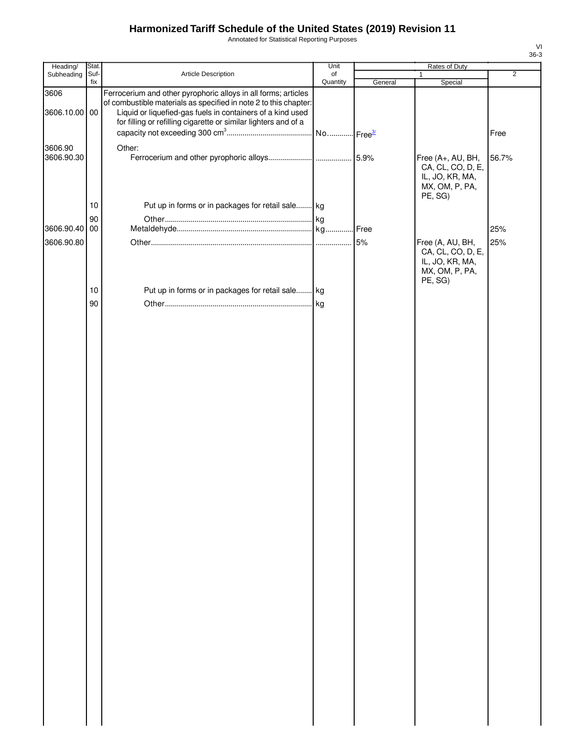# **Harmonized Tariff Schedule of the United States (2019) Revision 11**

Annotated for Statistical Reporting Purposes

| Heading/              | Stat.       |                                                                                                                                                                                                                                                                     | Unit                  | Rates of Duty |                                                                                        |                |
|-----------------------|-------------|---------------------------------------------------------------------------------------------------------------------------------------------------------------------------------------------------------------------------------------------------------------------|-----------------------|---------------|----------------------------------------------------------------------------------------|----------------|
| Subheading            | Suf-<br>fix | Article Description                                                                                                                                                                                                                                                 | of<br>Quantity        | General       | 1<br>Special                                                                           | $\overline{2}$ |
| 3606<br>3606.10.00 00 |             | Ferrocerium and other pyrophoric alloys in all forms; articles<br>of combustible materials as specified in note 2 to this chapter:<br>Liquid or liquefied-gas fuels in containers of a kind used<br>for filling or refilling cigarette or similar lighters and of a | No Free <sup>3/</sup> |               |                                                                                        | Free           |
| 3606.90<br>3606.90.30 | 10          | Other:<br>Put up in forms or in packages for retail sale kg                                                                                                                                                                                                         |                       | 5.9%          | Free (A+, AU, BH,<br>CA, CL, CO, D, E,<br>IL, JO, KR, MA,<br>MX, OM, P, PA,<br>PE, SG) | 56.7%          |
|                       | 90          |                                                                                                                                                                                                                                                                     |                       |               |                                                                                        |                |
| 3606.90.40 00         |             |                                                                                                                                                                                                                                                                     |                       | Free          |                                                                                        | 25%            |
| 3606.90.80            |             |                                                                                                                                                                                                                                                                     |                       | 5%            | Free (A, AU, BH,<br>CA, CL, CO, D, E,<br>IL, JO, KR, MA,<br>MX, OM, P, PA,<br>PE, SG)  | 25%            |
|                       | 10<br>90    | Put up in forms or in packages for retail sale kg                                                                                                                                                                                                                   |                       |               |                                                                                        |                |
|                       |             |                                                                                                                                                                                                                                                                     |                       |               |                                                                                        |                |

VI 36-3